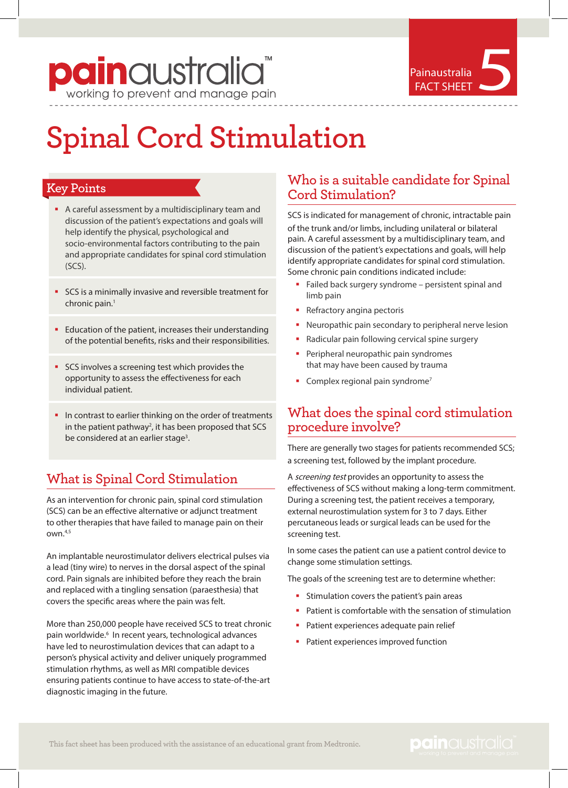# **pain** australia<sup>"</sup>

## Painaustralia Painaustralia

### **Spinal Cord Stimulation**

#### **Key Points**

- A careful assessment by a multidisciplinary team and discussion of the patient's expectations and goals will help identify the physical, psychological and socio-environmental factors contributing to the pain and appropriate candidates for spinal cord stimulation  $(SCS)$
- SCS is a minimally invasive and reversible treatment for chronic pain.<sup>1</sup>
- Education of the patient, increases their understanding of the potential benefits, risks and their responsibilities.
- **SCS** involves a screening test which provides the opportunity to assess the effectiveness for each individual patient.
- In contrast to earlier thinking on the order of treatments in the patient pathway<sup>2</sup>, it has been proposed that SCS be considered at an earlier stage<sup>3</sup>.

#### **What is Spinal Cord Stimulation**

As an intervention for chronic pain, spinal cord stimulation (SCS) can be an effective alternative or adjunct treatment to other therapies that have failed to manage pain on their own.4,5

An implantable neurostimulator delivers electrical pulses via a lead (tiny wire) to nerves in the dorsal aspect of the spinal cord. Pain signals are inhibited before they reach the brain and replaced with a tingling sensation (paraesthesia) that covers the specific areas where the pain was felt.

More than 250,000 people have received SCS to treat chronic pain worldwide.<sup>6</sup> In recent years, technological advances have led to neurostimulation devices that can adapt to a person's physical activity and deliver uniquely programmed stimulation rhythms, as well as MRI compatible devices ensuring patients continue to have access to state-of-the-art diagnostic imaging in the future.

#### **Who is a suitable candidate for Spinal Cord Stimulation?**

SCS is indicated for management of chronic, intractable pain of the trunk and/or limbs, including unilateral or bilateral pain. A careful assessment by a multidisciplinary team, and discussion of the patient's expectations and goals, will help identify appropriate candidates for spinal cord stimulation. Some chronic pain conditions indicated include:

- Failed back surgery syndrome persistent spinal and limb pain
- **•** Refractory angina pectoris
- Neuropathic pain secondary to peripheral nerve lesion
- Radicular pain following cervical spine surgery
- **•** Peripheral neuropathic pain syndromes that may have been caused by trauma
- **Complex regional pain syndrome**<sup>7</sup>

#### **What does the spinal cord stimulation procedure involve?**

There are generally two stages for patients recommended SCS; a screening test, followed by the implant procedure.

A screening test provides an opportunity to assess the effectiveness of SCS without making a long-term commitment. During a screening test, the patient receives a temporary, external neurostimulation system for 3 to 7 days. Either percutaneous leads or surgical leads can be used for the screening test.

In some cases the patient can use a patient control device to change some stimulation settings.

The goals of the screening test are to determine whether:

- § Stimulation covers the patient's pain areas
- Patient is comfortable with the sensation of stimulation
- Patient experiences adequate pain relief
- **•** Patient experiences improved function

#### painaustralia<sup>®</sup>